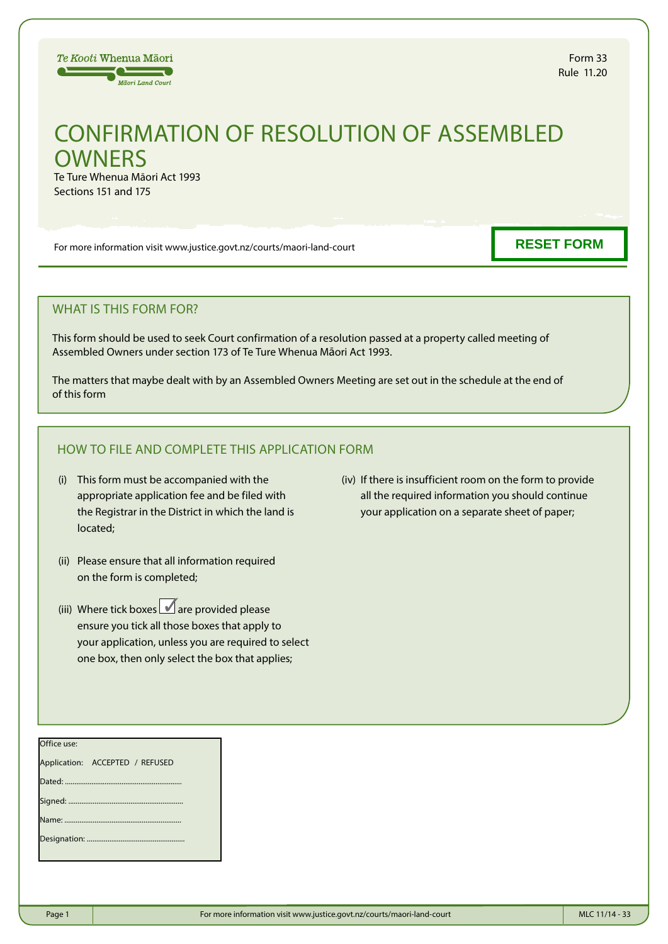

# CONFIRMATION OF RESOLUTION OF ASSEMBLED **OWNERS**

Te Ture Whenua Māori Act 1993 Sections 151 and 175

For more information visit www.justice.govt.nz/courts/maori-land-court

**RESET FORM**

# WHAT IS THIS FORM FOR?

This form should be used to seek Court confirmation of a resolution passed at a property called meeting of Assembled Owners under section 173 of Te Ture Whenua Māori Act 1993.

The matters that maybe dealt with by an Assembled Owners Meeting are set out in the schedule at the end of of this form

# HOW TO FILE AND COMPLETE THIS APPLICATION FORM

- (i) This form must be accompanied with the appropriate application fee and be filed with the Registrar in the District in which the land is located;
- (ii) Please ensure that all information required on the form is completed;
- (iii) Where tick boxes  $\blacksquare$  are provided please ensure you tick all those boxes that apply to your application, unless you are required to select one box, then only select the box that applies;
- (iv) If there is insufficient room on the form to provide all the required information you should continue your application on a separate sheet of paper;

| Office use:                     |  |  |  |  |
|---------------------------------|--|--|--|--|
| Application: ACCEPTED / REFUSED |  |  |  |  |
|                                 |  |  |  |  |
|                                 |  |  |  |  |
|                                 |  |  |  |  |
|                                 |  |  |  |  |
|                                 |  |  |  |  |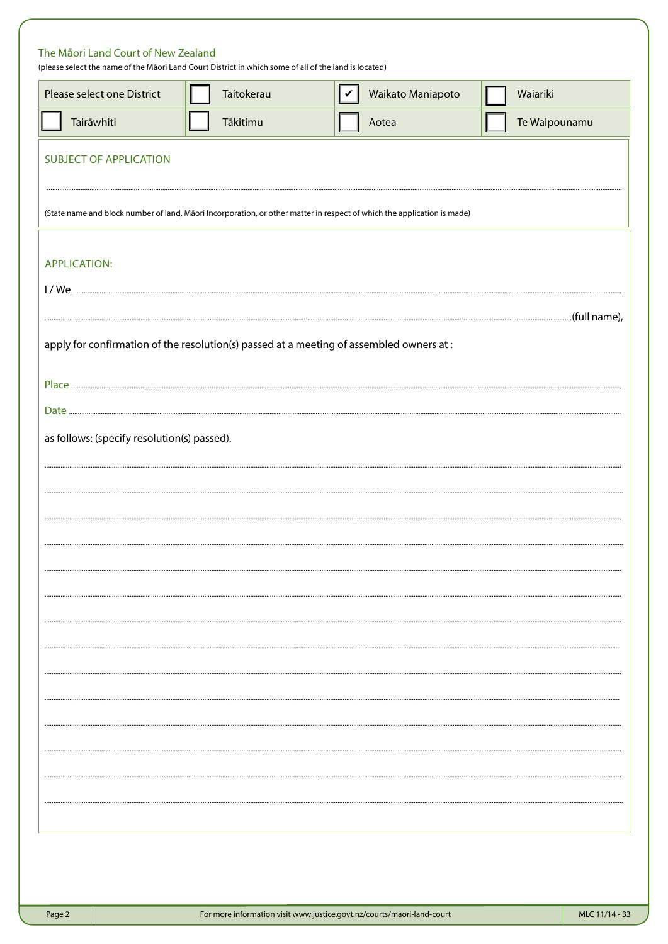| Please select one District                  | Taitokerau | Waikato Maniapoto<br>∣✔                                                                                                 | Waiariki      |
|---------------------------------------------|------------|-------------------------------------------------------------------------------------------------------------------------|---------------|
| Tairāwhiti                                  | Tākitimu   | Aotea                                                                                                                   | Te Waipounamu |
| <b>SUBJECT OF APPLICATION</b>               |            |                                                                                                                         |               |
|                                             |            | (State name and block number of land, Māori Incorporation, or other matter in respect of which the application is made) |               |
| <b>APPLICATION:</b>                         |            |                                                                                                                         |               |
|                                             |            |                                                                                                                         |               |
|                                             |            | apply for confirmation of the resolution(s) passed at a meeting of assembled owners at :                                |               |
|                                             |            |                                                                                                                         |               |
|                                             |            |                                                                                                                         |               |
| as follows: (specify resolution(s) passed). |            |                                                                                                                         |               |
|                                             |            |                                                                                                                         |               |
|                                             |            |                                                                                                                         |               |
|                                             |            |                                                                                                                         |               |
|                                             |            |                                                                                                                         |               |
|                                             |            |                                                                                                                         |               |
|                                             |            |                                                                                                                         |               |
|                                             |            |                                                                                                                         |               |
|                                             |            |                                                                                                                         |               |
|                                             |            |                                                                                                                         |               |
|                                             |            |                                                                                                                         |               |
|                                             |            |                                                                                                                         |               |
|                                             |            |                                                                                                                         |               |
|                                             |            |                                                                                                                         |               |
|                                             |            |                                                                                                                         |               |
|                                             |            |                                                                                                                         |               |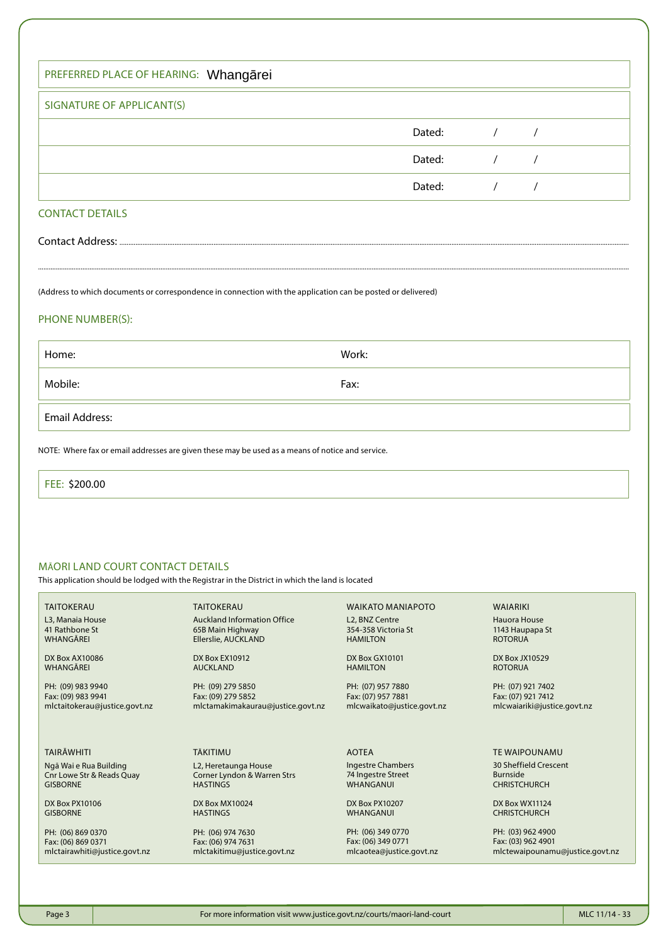| PREFERRED PLACE OF HEARING: Whangarei |        |  |
|---------------------------------------|--------|--|
| SIGNATURE OF APPLICANT(S)             |        |  |
|                                       | Dated: |  |
|                                       | Dated: |  |
|                                       | Dated: |  |
|                                       |        |  |

## CONTACT DETAILS

Contact Address:

(Address to which documents or correspondence in connection with the application can be posted or delivered)

## PHONE NUMBER(S):

| Home:                                                                                            | Work: |  |  |  |
|--------------------------------------------------------------------------------------------------|-------|--|--|--|
| Mobile:                                                                                          | Fax:  |  |  |  |
| Email Address:                                                                                   |       |  |  |  |
| NOTE: Where fax or email addresses are given these may be used as a means of notice and service. |       |  |  |  |

.............................................................................................................................................................................................................................................................................................................................................

FEE: \$200.00

## MĀORI LAND COURT CONTACT DETAILS

This application should be lodged with the Registrar in the District in which the land is located

TAITOKERAU L3, Manaia House 41 Rathbone St WHANGĀREI

DX Box AX10086 WHANGĀREI

PH: (09) 983 9940 Fax: (09) 983 9941 mlctaitokerau@justice.govt.nz

TAIRĀWHITI

Ngā Wai e Rua Building Cnr Lowe Str & Reads Quay GISBORNE

DX Box PX10106 GISBORNE

PH: (06) 869 0370 Fax: (06) 869 0371 mlctairawhiti@justice.govt.nz

Auckland Information Office 65B Main Highway Ellerslie, AUCKLAND

DX Box EX10912 AUCKLAND

TĀKITIMU

**HASTINGS** 

DX Box MX10024 **HASTINGS** 

PH: (06) 974 7630 Fax: (06) 974 7631

mlctakitimu@justice.govt.nz

L2, Heretaunga House Corner Lyndon & Warren Strs

TAITOKERAU

PH: (09) 279 5850 Fax: (09) 279 5852 mlctamakimakaurau@justice.govt.nz WAIKATO MANIAPOTO L2, BNZ Centre 354-358 Victoria St HAMILTON

DX Box GX10101 HAMILTON

PH: (07) 957 7880 Fax: (07) 957 7881 mlcwaikato@justice.govt.nz

AOTEA

Ingestre Chambers 74 Ingestre Street **WHANGANUI** 

DX Box PX10207 WHANGANUI

PH: (06) 349 0770 Fax: (06) 349 0771 mlcaotea@justice.govt.nz WAIARIKI Hauora House

1143 Haupapa St ROTORUA

DX Box JX10529 ROTORUA

PH: (07) 921 7402 Fax: (07) 921 7412 mlcwaiariki@justice.govt.nz

TE WAIPOUNAMU

30 Sheffield Crescent Burnside CHRISTCHURCH

DX Box WX11124 CHRISTCHURCH

PH: (03) 962 4900 Fax: (03) 962 4901 mlctewaipounamu@justice.govt.nz